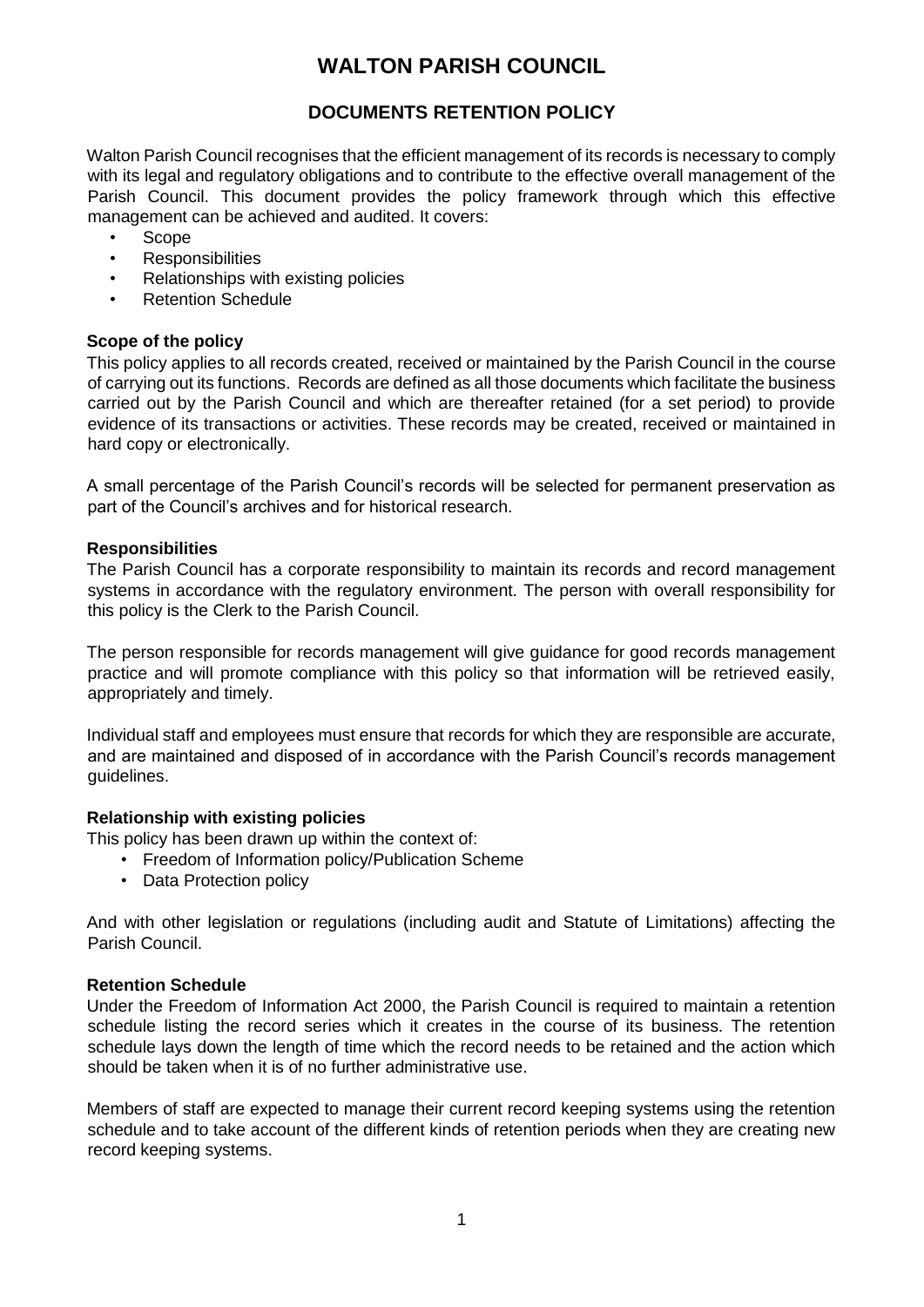# **WALTON PARISH COUNCIL**

## **DOCUMENTS RETENTION POLICY**

Walton Parish Council recognises that the efficient management of its records is necessary to comply with its legal and regulatory obligations and to contribute to the effective overall management of the Parish Council. This document provides the policy framework through which this effective management can be achieved and audited. It covers:

- Scope
- **Responsibilities**
- Relationships with existing policies
- Retention Schedule

## **Scope of the policy**

This policy applies to all records created, received or maintained by the Parish Council in the course of carrying out its functions. Records are defined as all those documents which facilitate the business carried out by the Parish Council and which are thereafter retained (for a set period) to provide evidence of its transactions or activities. These records may be created, received or maintained in hard copy or electronically.

A small percentage of the Parish Council's records will be selected for permanent preservation as part of the Council's archives and for historical research.

#### **Responsibilities**

The Parish Council has a corporate responsibility to maintain its records and record management systems in accordance with the regulatory environment. The person with overall responsibility for this policy is the Clerk to the Parish Council.

The person responsible for records management will give guidance for good records management practice and will promote compliance with this policy so that information will be retrieved easily, appropriately and timely.

Individual staff and employees must ensure that records for which they are responsible are accurate, and are maintained and disposed of in accordance with the Parish Council's records management guidelines.

#### **Relationship with existing policies**

This policy has been drawn up within the context of:

- Freedom of Information policy/Publication Scheme
- Data Protection policy

And with other legislation or regulations (including audit and Statute of Limitations) affecting the Parish Council.

### **Retention Schedule**

Under the Freedom of Information Act 2000, the Parish Council is required to maintain a retention schedule listing the record series which it creates in the course of its business. The retention schedule lays down the length of time which the record needs to be retained and the action which should be taken when it is of no further administrative use.

Members of staff are expected to manage their current record keeping systems using the retention schedule and to take account of the different kinds of retention periods when they are creating new record keeping systems.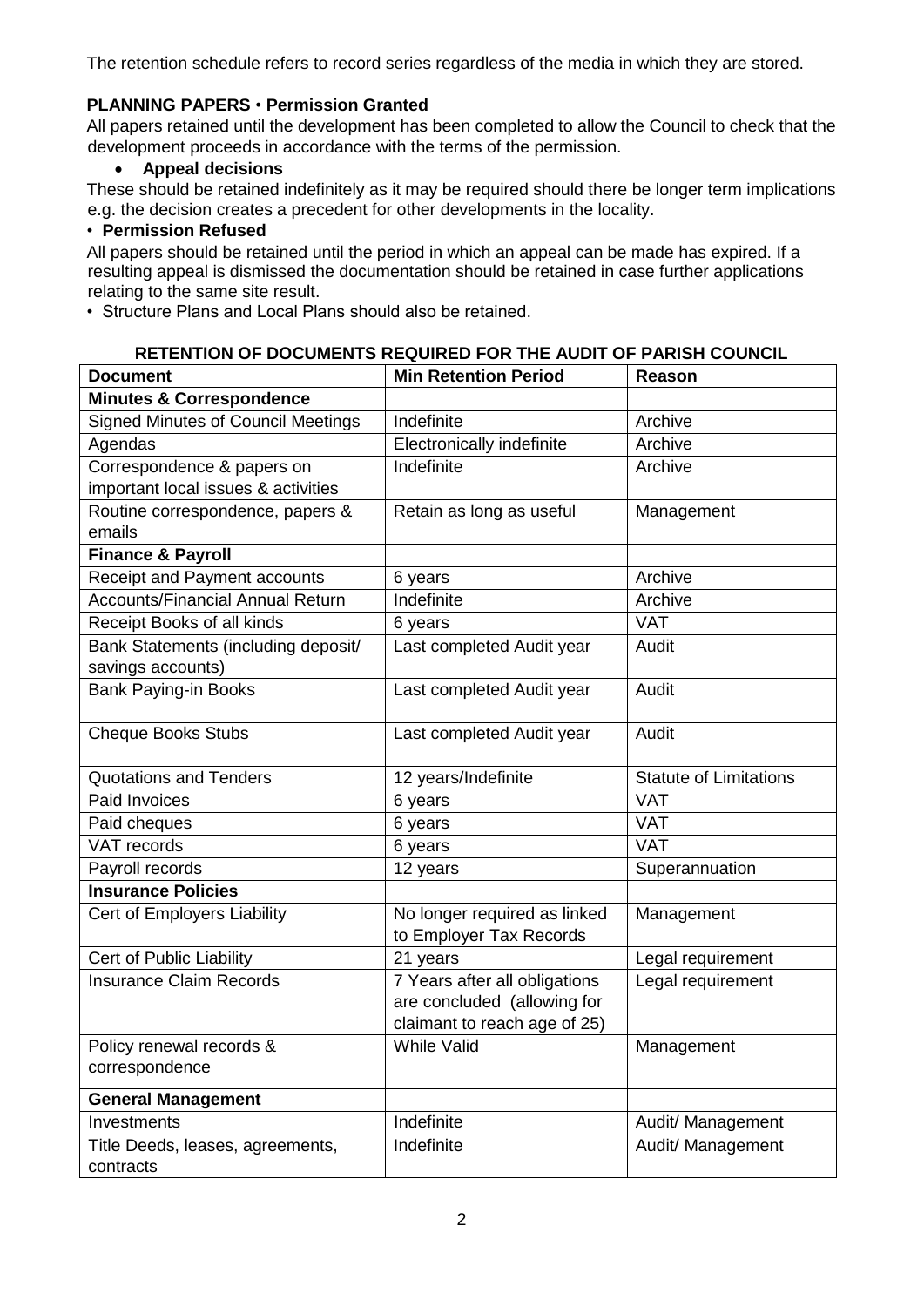The retention schedule refers to record series regardless of the media in which they are stored.

## **PLANNING PAPERS** • **Permission Granted**

All papers retained until the development has been completed to allow the Council to check that the development proceeds in accordance with the terms of the permission.

## **Appeal decisions**

These should be retained indefinitely as it may be required should there be longer term implications e.g. the decision creates a precedent for other developments in the locality.

## • **Permission Refused**

All papers should be retained until the period in which an appeal can be made has expired. If a resulting appeal is dismissed the documentation should be retained in case further applications relating to the same site result.

• Structure Plans and Local Plans should also be retained.

#### **RETENTION OF DOCUMENTS REQUIRED FOR THE AUDIT OF PARISH COUNCIL**

| <b>Document</b>                           | <b>Min Retention Period</b>   | <b>Reason</b>                 |
|-------------------------------------------|-------------------------------|-------------------------------|
| <b>Minutes &amp; Correspondence</b>       |                               |                               |
| <b>Signed Minutes of Council Meetings</b> | Indefinite                    | Archive                       |
| Agendas                                   | Electronically indefinite     | Archive                       |
| Correspondence & papers on                | Indefinite                    | Archive                       |
| important local issues & activities       |                               |                               |
| Routine correspondence, papers &          | Retain as long as useful      | Management                    |
| emails                                    |                               |                               |
| <b>Finance &amp; Payroll</b>              |                               |                               |
| <b>Receipt and Payment accounts</b>       | 6 years                       | Archive                       |
| <b>Accounts/Financial Annual Return</b>   | Indefinite                    | Archive                       |
| Receipt Books of all kinds                | 6 years                       | <b>VAT</b>                    |
| Bank Statements (including deposit/       | Last completed Audit year     | Audit                         |
| savings accounts)                         |                               |                               |
| <b>Bank Paying-in Books</b>               | Last completed Audit year     | Audit                         |
|                                           |                               |                               |
| <b>Cheque Books Stubs</b>                 | Last completed Audit year     | Audit                         |
|                                           |                               |                               |
| <b>Quotations and Tenders</b>             | 12 years/Indefinite           | <b>Statute of Limitations</b> |
| Paid Invoices                             | 6 years                       | <b>VAT</b>                    |
| Paid cheques                              | 6 years                       | <b>VAT</b>                    |
| VAT records                               | 6 years                       | <b>VAT</b>                    |
| Payroll records                           | 12 years                      | Superannuation                |
| <b>Insurance Policies</b>                 |                               |                               |
| Cert of Employers Liability               | No longer required as linked  | Management                    |
|                                           | to Employer Tax Records       |                               |
| Cert of Public Liability                  | 21 years                      | Legal requirement             |
| <b>Insurance Claim Records</b>            | 7 Years after all obligations | Legal requirement             |
|                                           | are concluded (allowing for   |                               |
|                                           | claimant to reach age of 25)  |                               |
| Policy renewal records &                  | <b>While Valid</b>            | Management                    |
| correspondence                            |                               |                               |
| <b>General Management</b>                 |                               |                               |
| Investments                               | Indefinite                    | Audit/ Management             |
| Title Deeds, leases, agreements,          | Indefinite                    | Audit/ Management             |
| contracts                                 |                               |                               |